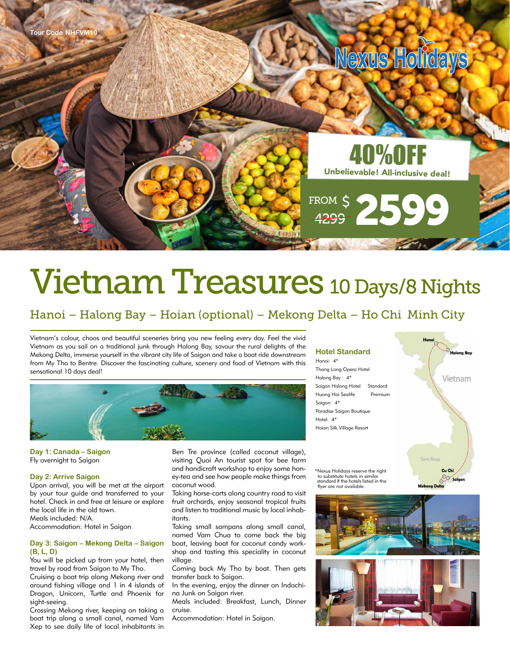

# Vietnam Treasures 10 Days/8 Nights

## Hanoi – Halong Bay – Hoian (optional) – Mekong Delta – Ho Chi Minh City

Vietnam's colour, chaos and beautiful sceneries bring you new feeling every day. Feel the vivid Vietnam as you sail on a traditional junk through Halong Bay, savour the rural delights of the Mekong Delta, immerse yourself in the vibrant city life of Saigon and take a boat ride downstream from My Tho to Bentre. Discover the fascinating culture, scenery and food of Vietnam with this sensational 10 days deal!



**Day 1: Canada – Saigon** Fly overnight to Saigon

#### **Day 2: Arrive Saigon**

Upon arrival, you will be met at the airport by your tour guide and transferred to your hotel. Check in and free at leisure or explore the local life in the old town. Meals included: N/A.

Accommodation: Hotel in Saigon

#### **Day 3: Saigon – Mekong Delta – Saigon (B, L, D)**

You will be picked up from your hotel, then travel by road from Saigon to My Tho.

Cruising a boat trip along Mekong river and around fishing village and 1 in 4 islands of Dragon, Unicorn, Turtle and Phoenix for sight-seeing.

Crossing Mekong river, keeping on taking a boat trip along a small canal, named Vam Xep to see daily life of local inhabitants in

Ben Tre province (called coconut village), visiting Quoi An tourist spot for bee farm and handicraft workshop to enjoy some honey-tea and see how people make things from coconut wood.

Taking horse-carts along country road to visit fruit orchards, enjoy seasonal tropical fruits and listen to traditional music by local inhabitants.

Taking small sampans along small canal, named Vam Chua to come back the big boat, leaving boat for coconut candy workshop and tasting this speciality in coconut village.

Coming back My Tho by boat. Then gets transfer back to Saigon.

In the evening, enjoy the dinner on Indochina Junk on Saigon river.

Meals included: Breakfast, Lunch, Dinner cruise.

Accommodation: Hotel in Saigon.

### **Hotel Standard**

Hanoi: 4\* Thang Long Opera Hotel Halong Bay : 4\* Saigon Halong Hotel Standard Huong Hai Sealife Premium Saigon: 4\* Paradise Saigon Boutique Hotel: 4\* Hoian Silk Village Resort

\*Nexus Holidays reserve the right to substitute hotels in similar standard if the hotels listed in the flyer are not available.